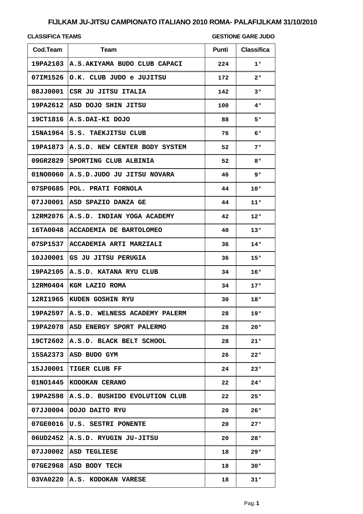# **FIJLKAM JU-JITSU CAMPIONATO ITALIANO 2010 ROMA- PALAFIJLKAM 31/10/2010**

### **CLASSIFICA TEAMS**

#### **GESTIONE GARE JUDO**

| Cod.Team | <b>Team</b>                              | <b>Punti</b> | <b>Classifica</b> |
|----------|------------------------------------------|--------------|-------------------|
|          | 19PA2103 A.S.AKIYAMA BUDO CLUB CAPACI    | 224          | $1^{\circ}$       |
|          | 07IM1526 O.K. CLUB JUDO e JUJITSU        | 172          | $2^{\circ}$       |
|          | 08JJ0001 CSR JU JITSU ITALIA             | 142          | $3^{\circ}$       |
|          | 19PA2612 ASD DOJO SHIN JITSU             | 100          | 40                |
|          | 19CT1816   A.S.DAI-KI DOJO               | 88           | 50                |
|          | 15NA1964 S.S. TAEKJITSU CLUB             | 76           | $6^{\circ}$       |
|          | 19PA1873 A.S.D. NEW CENTER BODY SYSTEM   | 52           | 70                |
|          | 09GR2829 SPORTING CLUB ALBINIA           | 52           | 80                |
|          | 01NO0060 A.S.D.JUDO JU JITSU NOVARA      | 46           | 90                |
| 07SP0685 | POL. PRATI FORNOLA                       | 44           | 10°               |
|          | 07JJ0001 ASD SPAZIO DANZA GE             | 44           | $11^{\circ}$      |
|          | 12RM2076 A.S.D. INDIAN YOGA ACADEMY      | 42           | 12°               |
|          | 16TA0048 ACCADEMIA DE BARTOLOMEO         | 40           | 13°               |
|          | 07SP1537 ACCADEMIA ARTI MARZIALI         | 36           | $14^{\circ}$      |
|          | 10JJ0001 GS JU JITSU PERUGIA             | 36           | 15°               |
|          | 19PA2105 A.S.D. KATANA RYU CLUB          | 34           | 16°               |
|          | 12RM0404 KGM LAZIO ROMA                  | 34           | 17°               |
|          | 12RI1965 KUDEN GOSHIN RYU                | 30           | 18°               |
|          | 19PA2597   A.S.D. WELNESS ACADEMY PALERM | 28           | 19°               |
| 19PA2078 | ASD ENERGY SPORT PALERMO                 | 28           | 20°               |
| 19CT2602 | A.S.D. BLACK BELT SCHOOL                 | 28           | 21°               |
| 15SA2373 | ASD BUDO GYM                             | 26           | 22°               |
| 15JJ0001 | <b>TIGER CLUB FF</b>                     | 24           | 23°               |
| 01NO1445 | KODOKAN CERANO                           | 22           | 24°               |
| 19PA2598 | A.S.D. BUSHIDO EVOLUTION CLUB            | 22           | 25°               |
| 07JJ0004 | DOJO DAITO RYU                           | 20           | 26°               |
| 07GE0016 | U.S. SESTRI PONENTE                      | 20           | 27°               |
| 06UD2452 | A.S.D. RYUGIN JU-JITSU                   | 20           | 28°               |
| 07JJ0002 | ASD TEGLIESE                             | 18           | 29°               |
| 07GE2968 | ASD BODY TECH                            | 18           | 30°               |
| 03VA0220 | A.S. KODOKAN VARESE                      | 18           | 31°               |